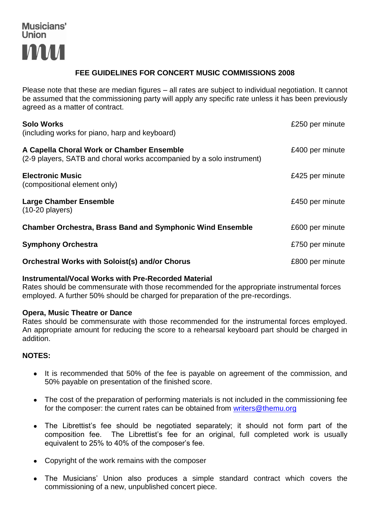# Musicians' **Union MM**

## **FEE GUIDELINES FOR CONCERT MUSIC COMMISSIONS 2008**

Please note that these are median figures – all rates are subject to individual negotiation. It cannot be assumed that the commissioning party will apply any specific rate unless it has been previously agreed as a matter of contract.

| <b>Solo Works</b><br>(including works for piano, harp and keyboard)                                                | £250 per minute |
|--------------------------------------------------------------------------------------------------------------------|-----------------|
| A Capella Choral Work or Chamber Ensemble<br>(2-9 players, SATB and choral works accompanied by a solo instrument) | £400 per minute |
| <b>Electronic Music</b><br>(compositional element only)                                                            | £425 per minute |
| <b>Large Chamber Ensemble</b><br>$(10-20$ players)                                                                 | £450 per minute |
| <b>Chamber Orchestra, Brass Band and Symphonic Wind Ensemble</b>                                                   | £600 per minute |
| <b>Symphony Orchestra</b>                                                                                          | £750 per minute |
| <b>Orchestral Works with Soloist(s) and/or Chorus</b>                                                              | £800 per minute |

### **Instrumental/Vocal Works with Pre-Recorded Material**

Rates should be commensurate with those recommended for the appropriate instrumental forces employed. A further 50% should be charged for preparation of the pre-recordings.

### **Opera, Music Theatre or Dance**

Rates should be commensurate with those recommended for the instrumental forces employed. An appropriate amount for reducing the score to a rehearsal keyboard part should be charged in addition.

### **NOTES:**

- It is recommended that 50% of the fee is payable on agreement of the commission, and 50% payable on presentation of the finished score.
- The cost of the preparation of performing materials is not included in the commissioning fee for the composer: the current rates can be obtained from [writers@themu.org](mailto:writers@themu.org)
- The Librettist's fee should be negotiated separately; it should not form part of the  $\bullet$ composition fee. The Librettist's fee for an original, full completed work is usually equivalent to 25% to 40% of the composer's fee.
- Copyright of the work remains with the composer
- The Musicians' Union also produces a simple standard contract which covers the commissioning of a new, unpublished concert piece.